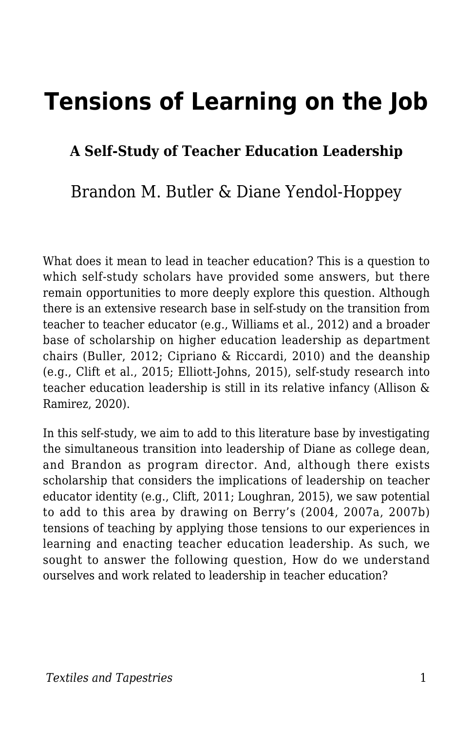# **Tensions of Learning on the Job**

#### **A Self-Study of Teacher Education Leadership**

#### Brandon M. Butler & Diane Yendol-Hoppey

What does it mean to lead in teacher education? This is a question to which self-study scholars have provided some answers, but there remain opportunities to more deeply explore this question. Although there is an extensive research base in self-study on the transition from teacher to teacher educator (e.g., Williams et al., 2012) and a broader base of scholarship on higher education leadership as department chairs (Buller, 2012; Cipriano & Riccardi, 2010) and the deanship (e.g., Clift et al., 2015; Elliott-Johns, 2015), self-study research into teacher education leadership is still in its relative infancy (Allison & Ramirez, 2020).

In this self-study, we aim to add to this literature base by investigating the simultaneous transition into leadership of Diane as college dean, and Brandon as program director. And, although there exists scholarship that considers the implications of leadership on teacher educator identity (e.g., Clift, 2011; Loughran, 2015), we saw potential to add to this area by drawing on Berry's (2004, 2007a, 2007b) tensions of teaching by applying those tensions to our experiences in learning and enacting teacher education leadership. As such, we sought to answer the following question, How do we understand ourselves and work related to leadership in teacher education?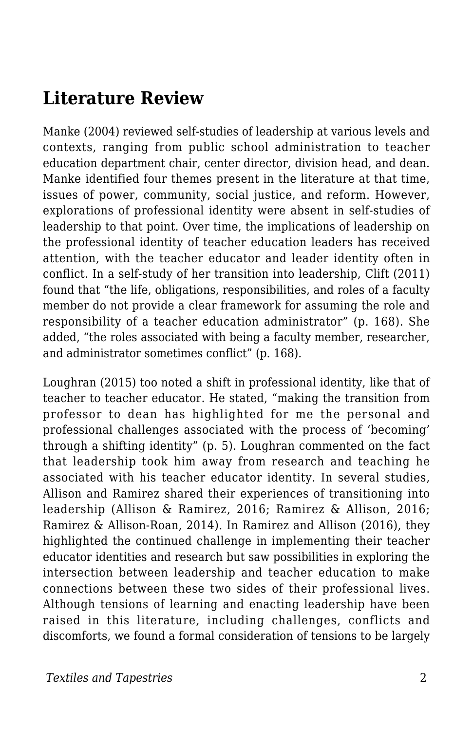### **Literature Review**

Manke (2004) reviewed self-studies of leadership at various levels and contexts, ranging from public school administration to teacher education department chair, center director, division head, and dean. Manke identified four themes present in the literature at that time, issues of power, community, social justice, and reform. However, explorations of professional identity were absent in self-studies of leadership to that point. Over time, the implications of leadership on the professional identity of teacher education leaders has received attention, with the teacher educator and leader identity often in conflict. In a self-study of her transition into leadership, Clift (2011) found that "the life, obligations, responsibilities, and roles of a faculty member do not provide a clear framework for assuming the role and responsibility of a teacher education administrator" (p. 168). She added, "the roles associated with being a faculty member, researcher, and administrator sometimes conflict" (p. 168).

Loughran (2015) too noted a shift in professional identity, like that of teacher to teacher educator. He stated, "making the transition from professor to dean has highlighted for me the personal and professional challenges associated with the process of 'becoming' through a shifting identity" (p. 5). Loughran commented on the fact that leadership took him away from research and teaching he associated with his teacher educator identity. In several studies, Allison and Ramirez shared their experiences of transitioning into leadership (Allison & Ramirez, 2016; Ramirez & Allison, 2016; Ramirez & Allison-Roan, 2014). In Ramirez and Allison (2016), they highlighted the continued challenge in implementing their teacher educator identities and research but saw possibilities in exploring the intersection between leadership and teacher education to make connections between these two sides of their professional lives. Although tensions of learning and enacting leadership have been raised in this literature, including challenges, conflicts and discomforts, we found a formal consideration of tensions to be largely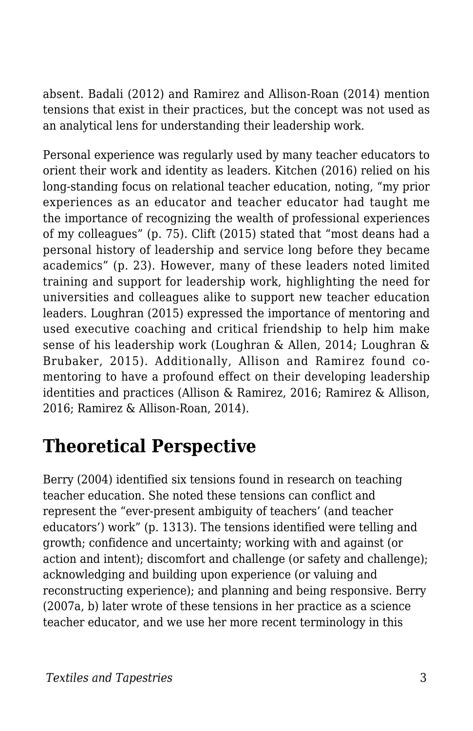absent. Badali (2012) and Ramirez and Allison-Roan (2014) mention tensions that exist in their practices, but the concept was not used as an analytical lens for understanding their leadership work.

Personal experience was regularly used by many teacher educators to orient their work and identity as leaders. Kitchen (2016) relied on his long-standing focus on relational teacher education, noting, "my prior experiences as an educator and teacher educator had taught me the importance of recognizing the wealth of professional experiences of my colleagues" (p. 75). Clift (2015) stated that "most deans had a personal history of leadership and service long before they became academics" (p. 23). However, many of these leaders noted limited training and support for leadership work, highlighting the need for universities and colleagues alike to support new teacher education leaders. Loughran (2015) expressed the importance of mentoring and used executive coaching and critical friendship to help him make sense of his leadership work (Loughran & Allen, 2014; Loughran & Brubaker, 2015). Additionally, Allison and Ramirez found comentoring to have a profound effect on their developing leadership identities and practices (Allison & Ramirez, 2016; Ramirez & Allison, 2016; Ramirez & Allison-Roan, 2014).

## **Theoretical Perspective**

Berry (2004) identified six tensions found in research on teaching teacher education. She noted these tensions can conflict and represent the "ever-present ambiguity of teachers' (and teacher educators') work" (p. 1313). The tensions identified were telling and growth; confidence and uncertainty; working with and against (or action and intent); discomfort and challenge (or safety and challenge); acknowledging and building upon experience (or valuing and reconstructing experience); and planning and being responsive. Berry (2007a, b) later wrote of these tensions in her practice as a science teacher educator, and we use her more recent terminology in this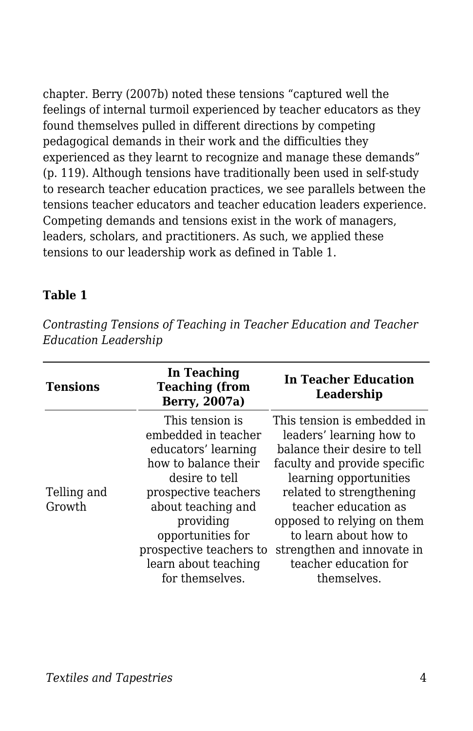chapter. Berry (2007b) noted these tensions "captured well the feelings of internal turmoil experienced by teacher educators as they found themselves pulled in different directions by competing pedagogical demands in their work and the difficulties they experienced as they learnt to recognize and manage these demands" (p. 119). Although tensions have traditionally been used in self-study to research teacher education practices, we see parallels between the tensions teacher educators and teacher education leaders experience. Competing demands and tensions exist in the work of managers, leaders, scholars, and practitioners. As such, we applied these tensions to our leadership work as defined in Table 1.

#### **Table 1**

*Contrasting Tensions of Teaching in Teacher Education and Teacher Education Leadership*

| <b>Tensions</b>       | In Teaching<br><b>Teaching (from</b><br>Berry, 2007a)                                                                                                                                                                                                         | In Teacher Education<br>Leadership                                                                                                                                                                                                                                                                                                 |
|-----------------------|---------------------------------------------------------------------------------------------------------------------------------------------------------------------------------------------------------------------------------------------------------------|------------------------------------------------------------------------------------------------------------------------------------------------------------------------------------------------------------------------------------------------------------------------------------------------------------------------------------|
| Telling and<br>Growth | This tension is<br>embedded in teacher<br>educators' learning<br>how to balance their<br>desire to tell<br>prospective teachers<br>about teaching and<br>providing<br>opportunities for<br>prospective teachers to<br>learn about teaching<br>for themselves. | This tension is embedded in<br>leaders' learning how to<br>balance their desire to tell<br>faculty and provide specific<br>learning opportunities<br>related to strengthening<br>teacher education as<br>opposed to relying on them<br>to learn about how to<br>strengthen and innovate in<br>teacher education for<br>themselves. |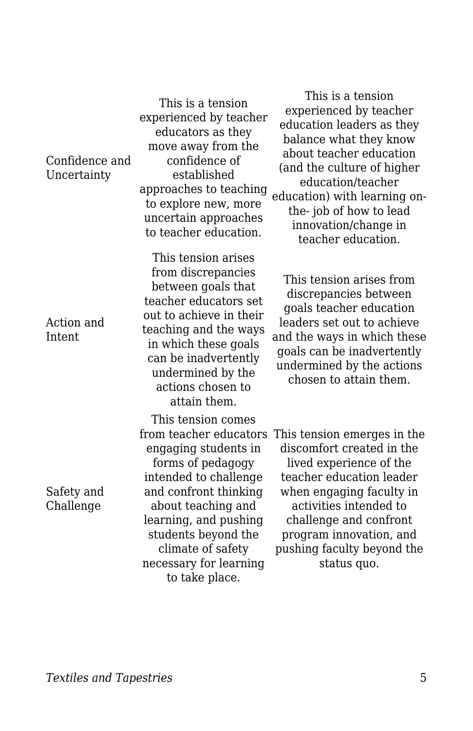| Confidence and<br>Uncertainty | move away from the<br>confidence of<br>established<br>approaches to teaching<br>to explore new, more<br>uncertain approaches<br>to teacher education.                                                                                                                              | about teacher education<br>(and the culture of higher<br>education/teacher<br>education) with learning on-<br>the-job of how to lead<br>innovation/change in<br>teacher education.                                                                                      |
|-------------------------------|------------------------------------------------------------------------------------------------------------------------------------------------------------------------------------------------------------------------------------------------------------------------------------|-------------------------------------------------------------------------------------------------------------------------------------------------------------------------------------------------------------------------------------------------------------------------|
| Action and<br>Intent          | This tension arises<br>from discrepancies<br>between goals that<br>teacher educators set<br>out to achieve in their<br>teaching and the ways<br>in which these goals<br>can be inadvertently<br>undermined by the<br>actions chosen to<br>attain them.                             | This tension arises from<br>discrepancies between<br>goals teacher education<br>leaders set out to achieve<br>and the ways in which these<br>goals can be inadvertently<br>undermined by the actions<br>chosen to attain them.                                          |
| Safety and<br>Challenge       | This tension comes<br>from teacher educators<br>engaging students in<br>forms of pedagogy<br>intended to challenge<br>and confront thinking<br>about teaching and<br>learning, and pushing<br>students beyond the<br>climate of safety<br>necessary for learning<br>to take place. | This tension emerges in the<br>discomfort created in the<br>lived experience of the<br>teacher education leader<br>when engaging faculty in<br>activities intended to<br>challenge and confront<br>program innovation, and<br>pushing faculty beyond the<br>status quo. |

This is a tension experienced by teacher educators as they move away from the

This is a tension experienced by teacher education leaders as they balance what they know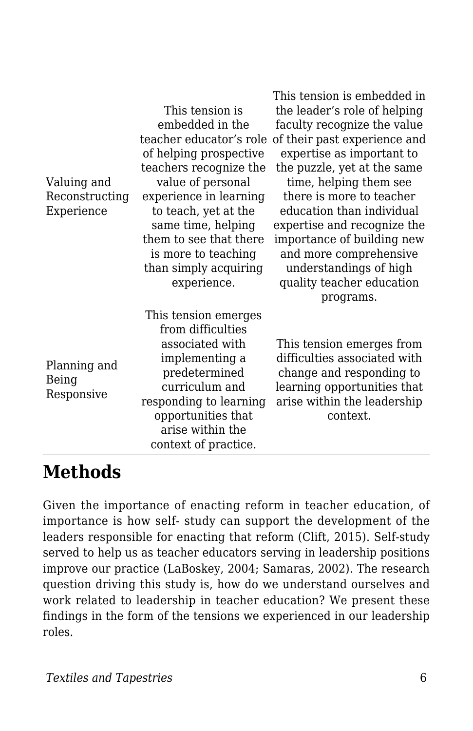|                                     |                         | This tension is embedded in  |
|-------------------------------------|-------------------------|------------------------------|
| Valuing and                         | This tension is         | the leader's role of helping |
|                                     | embedded in the         | faculty recognize the value  |
|                                     | teacher educator's role | of their past experience and |
|                                     | of helping prospective  | expertise as important to    |
|                                     | teachers recognize the  | the puzzle, yet at the same  |
|                                     | value of personal       | time, helping them see       |
| Reconstructing                      | experience in learning  | there is more to teacher     |
| Experience                          | to teach, yet at the    | education than individual    |
|                                     | same time, helping      | expertise and recognize the  |
|                                     | them to see that there  | importance of building new   |
|                                     | is more to teaching     | and more comprehensive       |
|                                     | than simply acquiring   | understandings of high       |
|                                     | experience.             | quality teacher education    |
|                                     |                         | programs.                    |
|                                     | This tension emerges    |                              |
|                                     | from difficulties       |                              |
| Planning and<br>Being<br>Responsive | associated with         | This tension emerges from    |
|                                     | implementing a          | difficulties associated with |
|                                     | predetermined           | change and responding to     |
|                                     | curriculum and          | learning opportunities that  |
|                                     | responding to learning  | arise within the leadership  |
|                                     | opportunities that      | context.                     |
|                                     | arise within the        |                              |
|                                     | context of practice.    |                              |

### **Methods**

Given the importance of enacting reform in teacher education, of importance is how self- study can support the development of the leaders responsible for enacting that reform (Clift, 2015). Self-study served to help us as teacher educators serving in leadership positions improve our practice (LaBoskey, 2004; Samaras, 2002). The research question driving this study is, how do we understand ourselves and work related to leadership in teacher education? We present these findings in the form of the tensions we experienced in our leadership roles.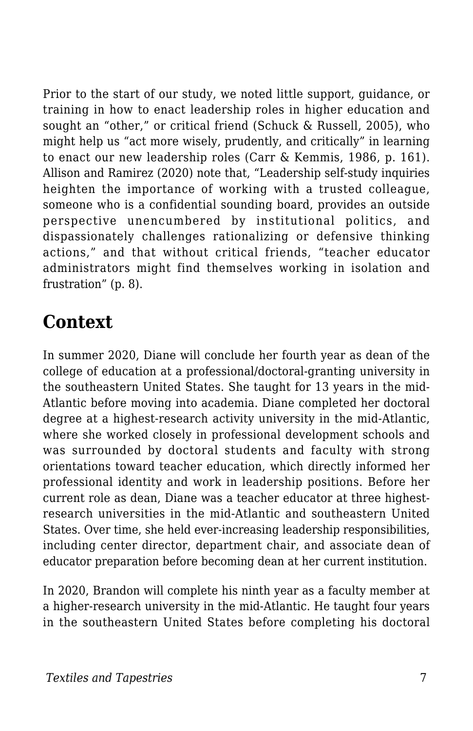Prior to the start of our study, we noted little support, guidance, or training in how to enact leadership roles in higher education and sought an "other," or critical friend (Schuck & Russell, 2005), who might help us "act more wisely, prudently, and critically" in learning to enact our new leadership roles (Carr & Kemmis, 1986, p. 161). Allison and Ramirez (2020) note that, "Leadership self-study inquiries heighten the importance of working with a trusted colleague, someone who is a confidential sounding board, provides an outside perspective unencumbered by institutional politics, and dispassionately challenges rationalizing or defensive thinking actions," and that without critical friends, "teacher educator administrators might find themselves working in isolation and frustration" (p. 8).

### **Context**

In summer 2020, Diane will conclude her fourth year as dean of the college of education at a professional/doctoral-granting university in the southeastern United States. She taught for 13 years in the mid-Atlantic before moving into academia. Diane completed her doctoral degree at a highest-research activity university in the mid-Atlantic, where she worked closely in professional development schools and was surrounded by doctoral students and faculty with strong orientations toward teacher education, which directly informed her professional identity and work in leadership positions. Before her current role as dean, Diane was a teacher educator at three highestresearch universities in the mid-Atlantic and southeastern United States. Over time, she held ever-increasing leadership responsibilities, including center director, department chair, and associate dean of educator preparation before becoming dean at her current institution.

In 2020, Brandon will complete his ninth year as a faculty member at a higher-research university in the mid-Atlantic. He taught four years in the southeastern United States before completing his doctoral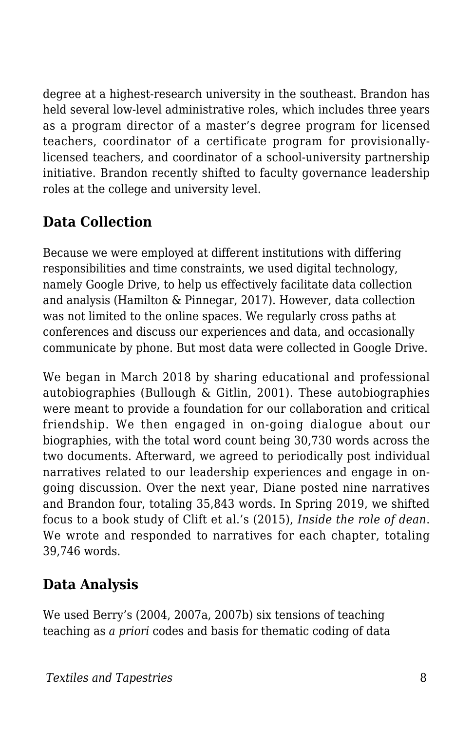degree at a highest-research university in the southeast. Brandon has held several low-level administrative roles, which includes three years as a program director of a master's degree program for licensed teachers, coordinator of a certificate program for provisionallylicensed teachers, and coordinator of a school-university partnership initiative. Brandon recently shifted to faculty governance leadership roles at the college and university level.

#### **Data Collection**

Because we were employed at different institutions with differing responsibilities and time constraints, we used digital technology, namely Google Drive, to help us effectively facilitate data collection and analysis (Hamilton & Pinnegar, 2017). However, data collection was not limited to the online spaces. We regularly cross paths at conferences and discuss our experiences and data, and occasionally communicate by phone. But most data were collected in Google Drive.

We began in March 2018 by sharing educational and professional autobiographies (Bullough & Gitlin, 2001). These autobiographies were meant to provide a foundation for our collaboration and critical friendship. We then engaged in on-going dialogue about our biographies, with the total word count being 30,730 words across the two documents. Afterward, we agreed to periodically post individual narratives related to our leadership experiences and engage in ongoing discussion. Over the next year, Diane posted nine narratives and Brandon four, totaling 35,843 words. In Spring 2019, we shifted focus to a book study of Clift et al.'s (2015), *Inside the role of dean*. We wrote and responded to narratives for each chapter, totaling 39,746 words.

#### **Data Analysis**

We used Berry's (2004, 2007a, 2007b) six tensions of teaching teaching as *a priori* codes and basis for thematic coding of data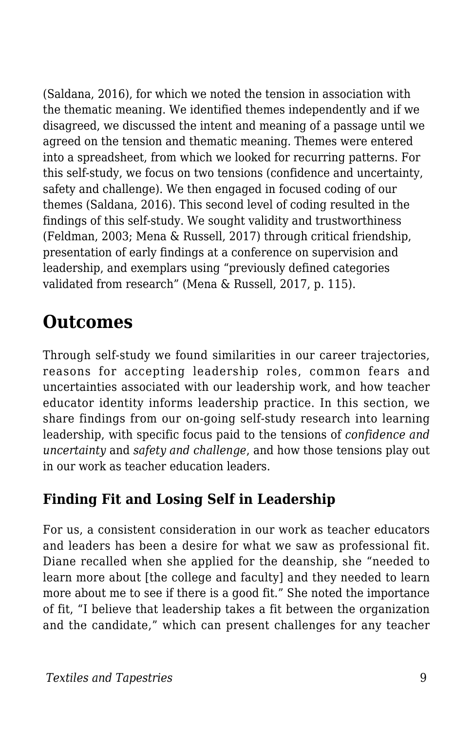(Saldana, 2016), for which we noted the tension in association with the thematic meaning. We identified themes independently and if we disagreed, we discussed the intent and meaning of a passage until we agreed on the tension and thematic meaning. Themes were entered into a spreadsheet, from which we looked for recurring patterns. For this self-study, we focus on two tensions (confidence and uncertainty, safety and challenge). We then engaged in focused coding of our themes (Saldana, 2016). This second level of coding resulted in the findings of this self-study. We sought validity and trustworthiness (Feldman, 2003; Mena & Russell, 2017) through critical friendship, presentation of early findings at a conference on supervision and leadership, and exemplars using "previously defined categories validated from research" (Mena & Russell, 2017, p. 115).

### **Outcomes**

Through self-study we found similarities in our career trajectories, reasons for accepting leadership roles, common fears and uncertainties associated with our leadership work, and how teacher educator identity informs leadership practice. In this section, we share findings from our on-going self-study research into learning leadership, with specific focus paid to the tensions of *confidence and uncertainty* and *safety and challenge*, and how those tensions play out in our work as teacher education leaders.

### **Finding Fit and Losing Self in Leadership**

For us, a consistent consideration in our work as teacher educators and leaders has been a desire for what we saw as professional fit. Diane recalled when she applied for the deanship, she "needed to learn more about [the college and faculty] and they needed to learn more about me to see if there is a good fit." She noted the importance of fit, "I believe that leadership takes a fit between the organization and the candidate," which can present challenges for any teacher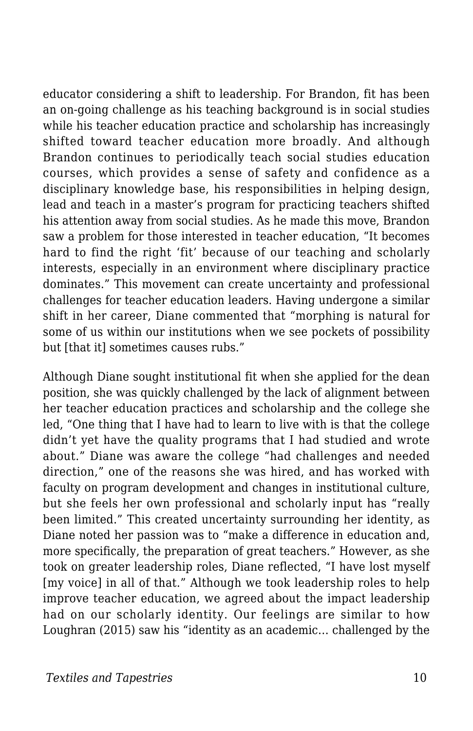educator considering a shift to leadership. For Brandon, fit has been an on-going challenge as his teaching background is in social studies while his teacher education practice and scholarship has increasingly shifted toward teacher education more broadly. And although Brandon continues to periodically teach social studies education courses, which provides a sense of safety and confidence as a disciplinary knowledge base, his responsibilities in helping design, lead and teach in a master's program for practicing teachers shifted his attention away from social studies. As he made this move, Brandon saw a problem for those interested in teacher education, "It becomes hard to find the right 'fit' because of our teaching and scholarly interests, especially in an environment where disciplinary practice dominates." This movement can create uncertainty and professional challenges for teacher education leaders. Having undergone a similar shift in her career, Diane commented that "morphing is natural for some of us within our institutions when we see pockets of possibility but [that it] sometimes causes rubs."

Although Diane sought institutional fit when she applied for the dean position, she was quickly challenged by the lack of alignment between her teacher education practices and scholarship and the college she led, "One thing that I have had to learn to live with is that the college didn't yet have the quality programs that I had studied and wrote about." Diane was aware the college "had challenges and needed direction," one of the reasons she was hired, and has worked with faculty on program development and changes in institutional culture, but she feels her own professional and scholarly input has "really been limited." This created uncertainty surrounding her identity, as Diane noted her passion was to "make a difference in education and, more specifically, the preparation of great teachers." However, as she took on greater leadership roles, Diane reflected, "I have lost myself [my voice] in all of that." Although we took leadership roles to help improve teacher education, we agreed about the impact leadership had on our scholarly identity. Our feelings are similar to how Loughran (2015) saw his "identity as an academic… challenged by the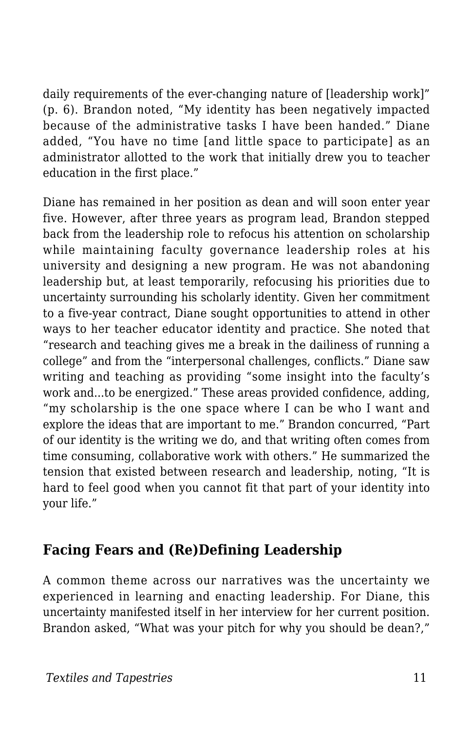daily requirements of the ever-changing nature of [leadership work]" (p. 6). Brandon noted, "My identity has been negatively impacted because of the administrative tasks I have been handed." Diane added, "You have no time [and little space to participate] as an administrator allotted to the work that initially drew you to teacher education in the first place."

Diane has remained in her position as dean and will soon enter year five. However, after three years as program lead, Brandon stepped back from the leadership role to refocus his attention on scholarship while maintaining faculty governance leadership roles at his university and designing a new program. He was not abandoning leadership but, at least temporarily, refocusing his priorities due to uncertainty surrounding his scholarly identity. Given her commitment to a five-year contract, Diane sought opportunities to attend in other ways to her teacher educator identity and practice. She noted that "research and teaching gives me a break in the dailiness of running a college" and from the "interpersonal challenges, conflicts." Diane saw writing and teaching as providing "some insight into the faculty's work and...to be energized." These areas provided confidence, adding, "my scholarship is the one space where I can be who I want and explore the ideas that are important to me." Brandon concurred, "Part of our identity is the writing we do, and that writing often comes from time consuming, collaborative work with others." He summarized the tension that existed between research and leadership, noting, "It is hard to feel good when you cannot fit that part of your identity into your life."

#### **Facing Fears and (Re)Defining Leadership**

A common theme across our narratives was the uncertainty we experienced in learning and enacting leadership. For Diane, this uncertainty manifested itself in her interview for her current position. Brandon asked, "What was your pitch for why you should be dean?,"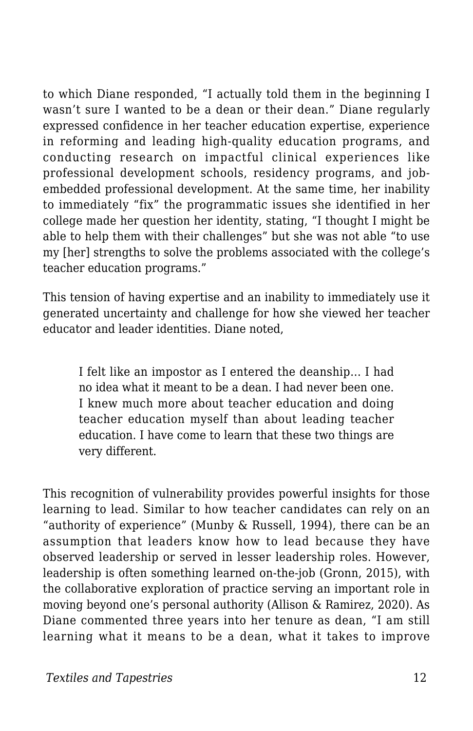to which Diane responded, "I actually told them in the beginning I wasn't sure I wanted to be a dean or their dean." Diane regularly expressed confidence in her teacher education expertise, experience in reforming and leading high-quality education programs, and conducting research on impactful clinical experiences like professional development schools, residency programs, and jobembedded professional development. At the same time, her inability to immediately "fix" the programmatic issues she identified in her college made her question her identity, stating, "I thought I might be able to help them with their challenges" but she was not able "to use my [her] strengths to solve the problems associated with the college's teacher education programs."

This tension of having expertise and an inability to immediately use it generated uncertainty and challenge for how she viewed her teacher educator and leader identities. Diane noted,

I felt like an impostor as I entered the deanship… I had no idea what it meant to be a dean. I had never been one. I knew much more about teacher education and doing teacher education myself than about leading teacher education. I have come to learn that these two things are very different.

This recognition of vulnerability provides powerful insights for those learning to lead. Similar to how teacher candidates can rely on an "authority of experience" (Munby & Russell, 1994), there can be an assumption that leaders know how to lead because they have observed leadership or served in lesser leadership roles. However, leadership is often something learned on-the-job (Gronn, 2015), with the collaborative exploration of practice serving an important role in moving beyond one's personal authority (Allison & Ramirez, 2020). As Diane commented three years into her tenure as dean, "I am still learning what it means to be a dean, what it takes to improve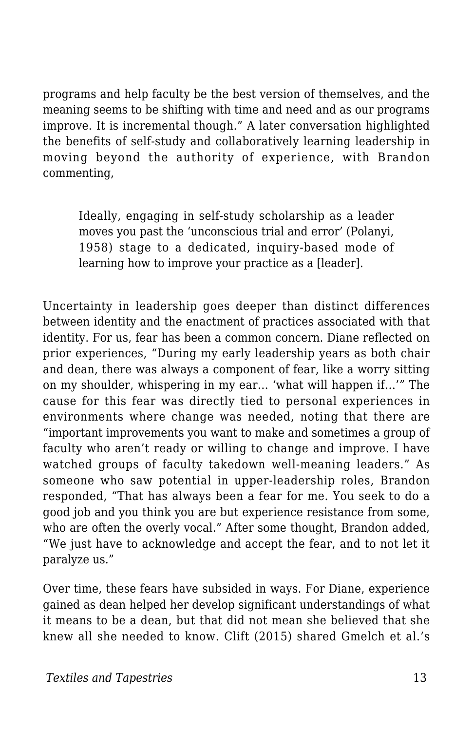programs and help faculty be the best version of themselves, and the meaning seems to be shifting with time and need and as our programs improve. It is incremental though." A later conversation highlighted the benefits of self-study and collaboratively learning leadership in moving beyond the authority of experience, with Brandon commenting,

Ideally, engaging in self-study scholarship as a leader moves you past the 'unconscious trial and error' (Polanyi, 1958) stage to a dedicated, inquiry-based mode of learning how to improve your practice as a [leader].

Uncertainty in leadership goes deeper than distinct differences between identity and the enactment of practices associated with that identity. For us, fear has been a common concern. Diane reflected on prior experiences, "During my early leadership years as both chair and dean, there was always a component of fear, like a worry sitting on my shoulder, whispering in my ear… 'what will happen if…'" The cause for this fear was directly tied to personal experiences in environments where change was needed, noting that there are "important improvements you want to make and sometimes a group of faculty who aren't ready or willing to change and improve. I have watched groups of faculty takedown well-meaning leaders." As someone who saw potential in upper-leadership roles, Brandon responded, "That has always been a fear for me. You seek to do a good job and you think you are but experience resistance from some, who are often the overly vocal." After some thought, Brandon added, "We just have to acknowledge and accept the fear, and to not let it paralyze us."

Over time, these fears have subsided in ways. For Diane, experience gained as dean helped her develop significant understandings of what it means to be a dean, but that did not mean she believed that she knew all she needed to know. Clift (2015) shared Gmelch et al.'s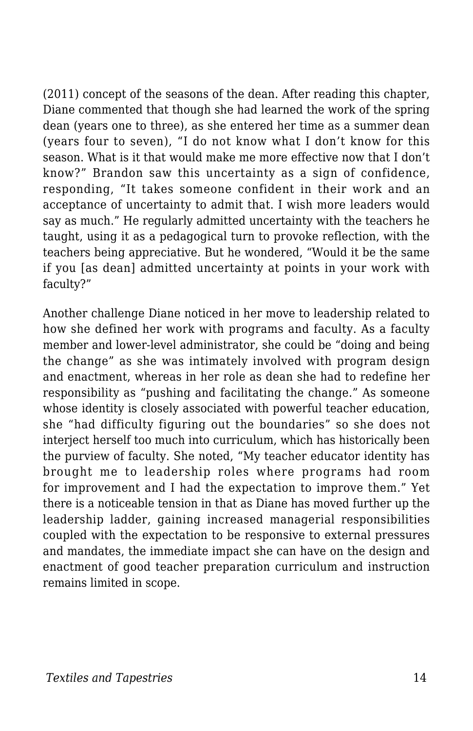(2011) concept of the seasons of the dean. After reading this chapter, Diane commented that though she had learned the work of the spring dean (years one to three), as she entered her time as a summer dean (years four to seven), "I do not know what I don't know for this season. What is it that would make me more effective now that I don't know?" Brandon saw this uncertainty as a sign of confidence, responding, "It takes someone confident in their work and an acceptance of uncertainty to admit that. I wish more leaders would say as much." He regularly admitted uncertainty with the teachers he taught, using it as a pedagogical turn to provoke reflection, with the teachers being appreciative. But he wondered, "Would it be the same if you [as dean] admitted uncertainty at points in your work with faculty?"

Another challenge Diane noticed in her move to leadership related to how she defined her work with programs and faculty. As a faculty member and lower-level administrator, she could be "doing and being the change" as she was intimately involved with program design and enactment, whereas in her role as dean she had to redefine her responsibility as "pushing and facilitating the change." As someone whose identity is closely associated with powerful teacher education, she "had difficulty figuring out the boundaries" so she does not interject herself too much into curriculum, which has historically been the purview of faculty. She noted, "My teacher educator identity has brought me to leadership roles where programs had room for improvement and I had the expectation to improve them." Yet there is a noticeable tension in that as Diane has moved further up the leadership ladder, gaining increased managerial responsibilities coupled with the expectation to be responsive to external pressures and mandates, the immediate impact she can have on the design and enactment of good teacher preparation curriculum and instruction remains limited in scope.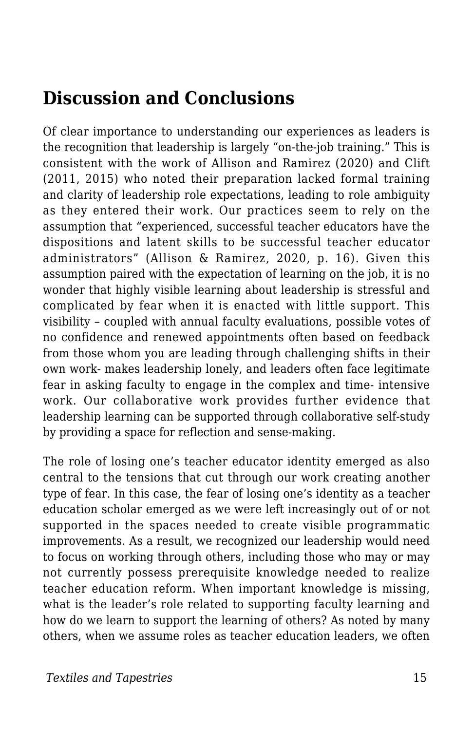### **Discussion and Conclusions**

Of clear importance to understanding our experiences as leaders is the recognition that leadership is largely "on-the-job training." This is consistent with the work of Allison and Ramirez (2020) and Clift (2011, 2015) who noted their preparation lacked formal training and clarity of leadership role expectations, leading to role ambiguity as they entered their work. Our practices seem to rely on the assumption that "experienced, successful teacher educators have the dispositions and latent skills to be successful teacher educator administrators" (Allison & Ramirez, 2020, p. 16). Given this assumption paired with the expectation of learning on the job, it is no wonder that highly visible learning about leadership is stressful and complicated by fear when it is enacted with little support. This visibility – coupled with annual faculty evaluations, possible votes of no confidence and renewed appointments often based on feedback from those whom you are leading through challenging shifts in their own work- makes leadership lonely, and leaders often face legitimate fear in asking faculty to engage in the complex and time- intensive work. Our collaborative work provides further evidence that leadership learning can be supported through collaborative self-study by providing a space for reflection and sense-making.

The role of losing one's teacher educator identity emerged as also central to the tensions that cut through our work creating another type of fear. In this case, the fear of losing one's identity as a teacher education scholar emerged as we were left increasingly out of or not supported in the spaces needed to create visible programmatic improvements. As a result, we recognized our leadership would need to focus on working through others, including those who may or may not currently possess prerequisite knowledge needed to realize teacher education reform. When important knowledge is missing, what is the leader's role related to supporting faculty learning and how do we learn to support the learning of others? As noted by many others, when we assume roles as teacher education leaders, we often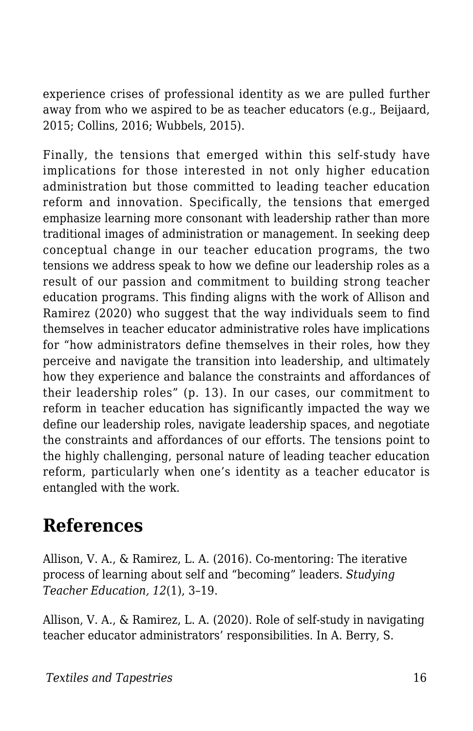experience crises of professional identity as we are pulled further away from who we aspired to be as teacher educators (e.g., Beijaard, 2015; Collins, 2016; Wubbels, 2015).

Finally, the tensions that emerged within this self-study have implications for those interested in not only higher education administration but those committed to leading teacher education reform and innovation. Specifically, the tensions that emerged emphasize learning more consonant with leadership rather than more traditional images of administration or management. In seeking deep conceptual change in our teacher education programs, the two tensions we address speak to how we define our leadership roles as a result of our passion and commitment to building strong teacher education programs. This finding aligns with the work of Allison and Ramirez (2020) who suggest that the way individuals seem to find themselves in teacher educator administrative roles have implications for "how administrators define themselves in their roles, how they perceive and navigate the transition into leadership, and ultimately how they experience and balance the constraints and affordances of their leadership roles" (p. 13). In our cases, our commitment to reform in teacher education has significantly impacted the way we define our leadership roles, navigate leadership spaces, and negotiate the constraints and affordances of our efforts. The tensions point to the highly challenging, personal nature of leading teacher education reform, particularly when one's identity as a teacher educator is entangled with the work.

### **References**

Allison, V. A., & Ramirez, L. A. (2016). Co-mentoring: The iterative process of learning about self and "becoming" leaders. *Studying Teacher Education, 12*(1), 3–19.

Allison, V. A., & Ramirez, L. A. (2020). Role of self-study in navigating teacher educator administrators' responsibilities. In A. Berry, S.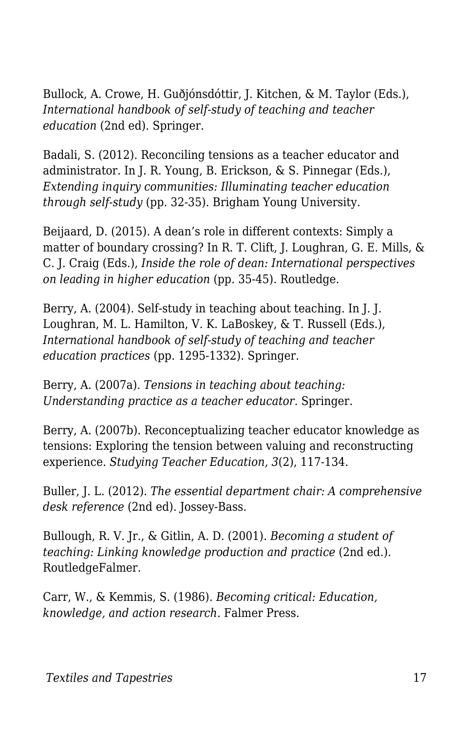Bullock, A. Crowe, H. Guðjónsdóttir, J. Kitchen, & M. Taylor (Eds.), *International handbook of self-study of teaching and teacher education* (2nd ed). Springer.

Badali, S. (2012). Reconciling tensions as a teacher educator and administrator. In J. R. Young, B. Erickson, & S. Pinnegar (Eds.), *Extending inquiry communities: Illuminating teacher education through self-study* (pp. 32-35). Brigham Young University.

Beijaard, D. (2015). A dean's role in different contexts: Simply a matter of boundary crossing? In R. T. Clift, J. Loughran, G. E. Mills, & C. J. Craig (Eds.), *Inside the role of dean: International perspectives on leading in higher education* (pp. 35-45). Routledge.

Berry, A. (2004). Self-study in teaching about teaching. In J. J. Loughran, M. L. Hamilton, V. K. LaBoskey, & T. Russell (Eds.), *International handbook of self-study of teaching and teacher education practices* (pp. 1295-1332). Springer.

Berry, A. (2007a). *Tensions in teaching about teaching: Understanding practice as a teacher educator*. Springer.

Berry, A. (2007b). Reconceptualizing teacher educator knowledge as tensions: Exploring the tension between valuing and reconstructing experience. *Studying Teacher Education, 3*(2), 117-134.

Buller, J. L. (2012). *The essential department chair: A comprehensive desk reference* (2nd ed). Jossey-Bass.

Bullough, R. V. Jr., & Gitlin, A. D. (2001). *Becoming a student of teaching: Linking knowledge production and practice* (2nd ed.). RoutledgeFalmer.

Carr, W., & Kemmis, S. (1986). *Becoming critical: Education, knowledge, and action research*. Falmer Press.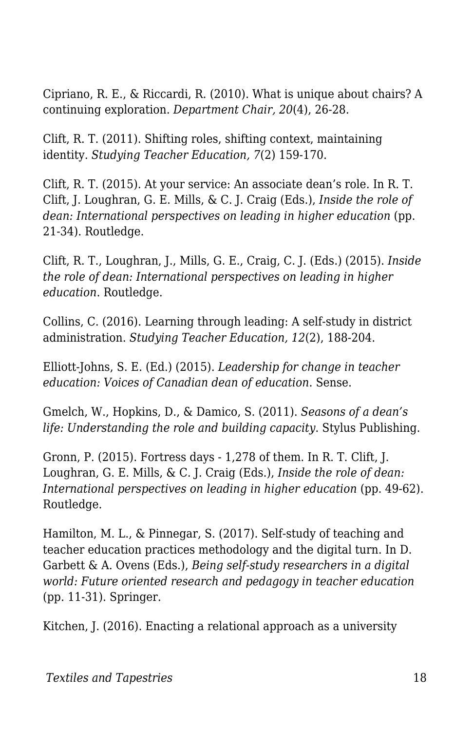Cipriano, R. E., & Riccardi, R. (2010). What is unique about chairs? A continuing exploration. *Department Chair, 20*(4), 26-28.

Clift, R. T. (2011). Shifting roles, shifting context, maintaining identity. *Studying Teacher Education, 7*(2) 159-170.

Clift, R. T. (2015). At your service: An associate dean's role. In R. T. Clift, J. Loughran, G. E. Mills, & C. J. Craig (Eds.), *Inside the role of dean: International perspectives on leading in higher education (pp.* 21-34). Routledge.

Clift, R. T., Loughran, J., Mills, G. E., Craig, C. J. (Eds.) (2015). *Inside the role of dean: International perspectives on leading in higher education*. Routledge.

Collins, C. (2016). Learning through leading: A self-study in district administration. *Studying Teacher Education, 12*(2), 188-204.

Elliott-Johns, S. E. (Ed.) (2015). *Leadership for change in teacher education: Voices of Canadian dean of education*. Sense.

Gmelch, W., Hopkins, D., & Damico, S. (2011). *Seasons of a dean's life: Understanding the role and building capacity*. Stylus Publishing.

Gronn, P. (2015). Fortress days - 1,278 of them. In R. T. Clift, J. Loughran, G. E. Mills, & C. J. Craig (Eds.), *Inside the role of dean: International perspectives on leading in higher education (pp. 49-62).* Routledge.

Hamilton, M. L., & Pinnegar, S. (2017). Self-study of teaching and teacher education practices methodology and the digital turn. In D. Garbett & A. Ovens (Eds.), *Being self-study researchers in a digital world: Future oriented research and pedagogy in teacher education* (pp. 11-31). Springer.

Kitchen, J. (2016). Enacting a relational approach as a university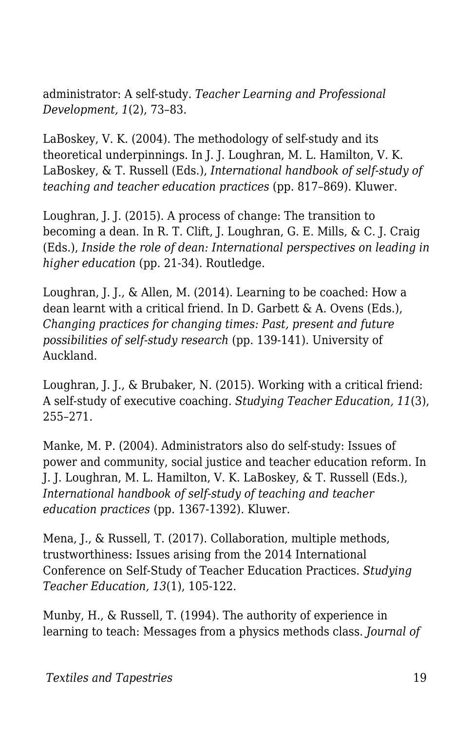administrator: A self-study. *Teacher Learning and Professional Development, 1*(2), 73–83.

LaBoskey, V. K. (2004). The methodology of self-study and its theoretical underpinnings. In J. J. Loughran, M. L. Hamilton, V. K. LaBoskey, & T. Russell (Eds.), *International handbook of self-study of teaching and teacher education practices* (pp. 817–869). Kluwer.

Loughran, J. J. (2015). A process of change: The transition to becoming a dean. In R. T. Clift, J. Loughran, G. E. Mills, & C. J. Craig (Eds.), *Inside the role of dean: International perspectives on leading in higher education* (pp. 21-34). Routledge.

Loughran, J. J., & Allen, M. (2014). Learning to be coached: How a dean learnt with a critical friend. In D. Garbett & A. Ovens (Eds.), *Changing practices for changing times: Past, present and future possibilities of self-study research* (pp. 139-141). University of Auckland.

Loughran, J. J., & Brubaker, N. (2015). Working with a critical friend: A self-study of executive coaching. *Studying Teacher Education, 11*(3), 255–271.

Manke, M. P. (2004). Administrators also do self-study: Issues of power and community, social justice and teacher education reform. In J. J. Loughran, M. L. Hamilton, V. K. LaBoskey, & T. Russell (Eds.), *International handbook of self-study of teaching and teacher education practices* (pp. 1367-1392). Kluwer.

Mena, J., & Russell, T. (2017). Collaboration, multiple methods, trustworthiness: Issues arising from the 2014 International Conference on Self-Study of Teacher Education Practices. *Studying Teacher Education, 13*(1), 105-122.

Munby, H., & Russell, T. (1994). The authority of experience in learning to teach: Messages from a physics methods class. *Journal of*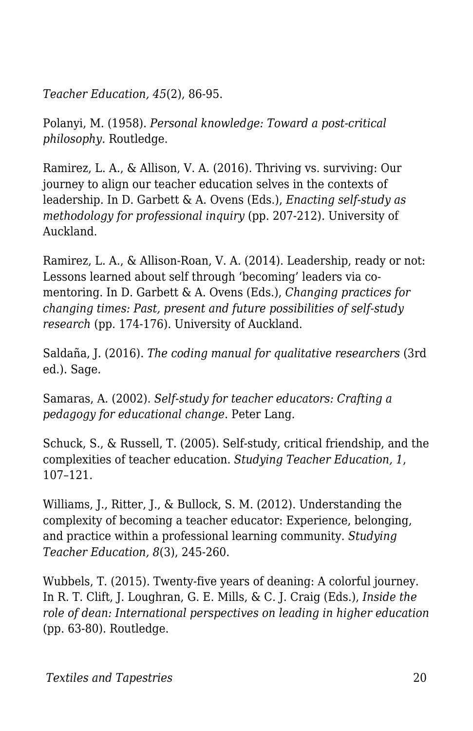*Teacher Education, 45*(2), 86-95.

Polanyi, M. (1958). *Personal knowledge: Toward a post-critical philosophy*. Routledge.

Ramirez, L. A., & Allison, V. A. (2016). Thriving vs. surviving: Our journey to align our teacher education selves in the contexts of leadership. In D. Garbett & A. Ovens (Eds.), *Enacting self-study as methodology for professional inquiry* (pp. 207-212). University of Auckland.

Ramirez, L. A., & Allison-Roan, V. A. (2014). Leadership, ready or not: Lessons learned about self through 'becoming' leaders via comentoring. In D. Garbett & A. Ovens (Eds.), *Changing practices for changing times: Past, present and future possibilities of self-study research* (pp. 174-176). University of Auckland.

Saldaña, J. (2016). *The coding manual for qualitative researchers* (3rd ed.). Sage.

Samaras, A. (2002). *Self-study for teacher educators: Crafting a pedagogy for educational change*. Peter Lang.

Schuck, S., & Russell, T. (2005). Self-study, critical friendship, and the complexities of teacher education. *Studying Teacher Education, 1*, 107–121.

Williams, J., Ritter, J., & Bullock, S. M. (2012). Understanding the complexity of becoming a teacher educator: Experience, belonging, and practice within a professional learning community. *Studying Teacher Education, 8*(3), 245-260.

Wubbels, T. (2015). Twenty-five years of deaning: A colorful journey. In R. T. Clift, J. Loughran, G. E. Mills, & C. J. Craig (Eds.), *Inside the role of dean: International perspectives on leading in higher education* (pp. 63-80). Routledge.